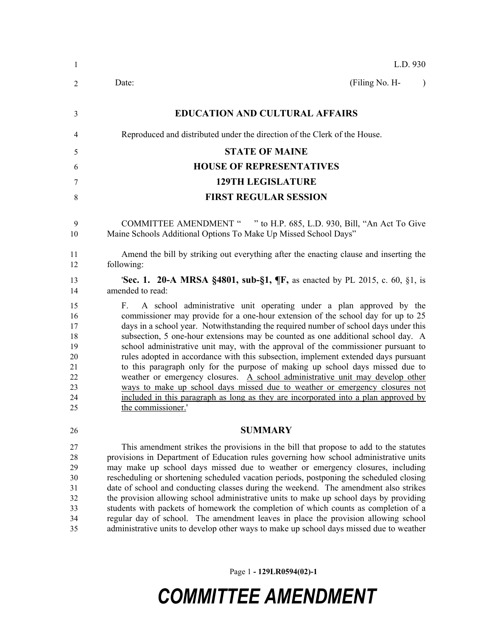| L.D. 930                                                                                                                                                                                                                                                                                                                                                                                                                                                                                                                                                                                                                                                                                                                                                                                                                                                                           |
|------------------------------------------------------------------------------------------------------------------------------------------------------------------------------------------------------------------------------------------------------------------------------------------------------------------------------------------------------------------------------------------------------------------------------------------------------------------------------------------------------------------------------------------------------------------------------------------------------------------------------------------------------------------------------------------------------------------------------------------------------------------------------------------------------------------------------------------------------------------------------------|
| (Filing No. H-<br>Date:<br>$\lambda$                                                                                                                                                                                                                                                                                                                                                                                                                                                                                                                                                                                                                                                                                                                                                                                                                                               |
| <b>EDUCATION AND CULTURAL AFFAIRS</b>                                                                                                                                                                                                                                                                                                                                                                                                                                                                                                                                                                                                                                                                                                                                                                                                                                              |
| Reproduced and distributed under the direction of the Clerk of the House.                                                                                                                                                                                                                                                                                                                                                                                                                                                                                                                                                                                                                                                                                                                                                                                                          |
| <b>STATE OF MAINE</b>                                                                                                                                                                                                                                                                                                                                                                                                                                                                                                                                                                                                                                                                                                                                                                                                                                                              |
| <b>HOUSE OF REPRESENTATIVES</b>                                                                                                                                                                                                                                                                                                                                                                                                                                                                                                                                                                                                                                                                                                                                                                                                                                                    |
| <b>129TH LEGISLATURE</b>                                                                                                                                                                                                                                                                                                                                                                                                                                                                                                                                                                                                                                                                                                                                                                                                                                                           |
| <b>FIRST REGULAR SESSION</b>                                                                                                                                                                                                                                                                                                                                                                                                                                                                                                                                                                                                                                                                                                                                                                                                                                                       |
| COMMITTEE AMENDMENT " " to H.P. 685, L.D. 930, Bill, "An Act To Give<br>Maine Schools Additional Options To Make Up Missed School Days"                                                                                                                                                                                                                                                                                                                                                                                                                                                                                                                                                                                                                                                                                                                                            |
| Amend the bill by striking out everything after the enacting clause and inserting the<br>following:                                                                                                                                                                                                                                                                                                                                                                                                                                                                                                                                                                                                                                                                                                                                                                                |
| <b>'Sec. 1. 20-A MRSA §4801, sub-§1, ¶F, as enacted by PL 2015, c. 60, §1, is</b><br>amended to read:                                                                                                                                                                                                                                                                                                                                                                                                                                                                                                                                                                                                                                                                                                                                                                              |
| A school administrative unit operating under a plan approved by the<br>F.<br>commissioner may provide for a one-hour extension of the school day for up to 25<br>days in a school year. Notwithstanding the required number of school days under this<br>subsection, 5 one-hour extensions may be counted as one additional school day. A<br>school administrative unit may, with the approval of the commissioner pursuant to<br>rules adopted in accordance with this subsection, implement extended days pursuant<br>to this paragraph only for the purpose of making up school days missed due to<br>weather or emergency closures. A school administrative unit may develop other<br>ways to make up school days missed due to weather or emergency closures not<br>included in this paragraph as long as they are incorporated into a plan approved by<br>the commissioner.' |
| <b>SUMMARY</b>                                                                                                                                                                                                                                                                                                                                                                                                                                                                                                                                                                                                                                                                                                                                                                                                                                                                     |
| This amendment strikes the provisions in the bill that propose to add to the statutes<br>provisions in Department of Education rules governing how school administrative units<br>may make up school days missed due to weather or emergency closures, including<br>rescheduling or shortening scheduled vacation periods, postponing the scheduled closing<br>date of school and conducting classes during the weekend. The amendment also strikes<br>the provision allowing school administrative units to make up school days by providing<br>students with packets of homework the completion of which counts as completion of a<br>regular day of school. The amendment leaves in place the provision allowing school<br>administrative units to develop other ways to make up school days missed due to weather                                                              |
|                                                                                                                                                                                                                                                                                                                                                                                                                                                                                                                                                                                                                                                                                                                                                                                                                                                                                    |

Page 1 **- 129LR0594(02)-1**

## *COMMITTEE AMENDMENT*